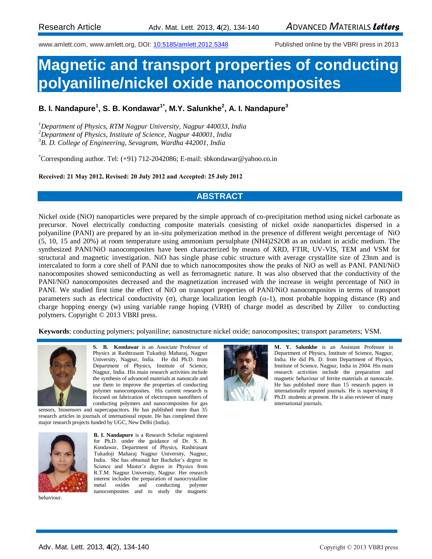[www.amlett.com,](http://www.vbripress.com/) www.amlett.org, DOI: 10.5185/amlett.2012.5348 Published online by the VBRI press in 2013

# **Magnetic and transport properties of conducting polyaniline/nickel oxide nanocomposites**

### **B. I. Nandapure<sup>1</sup> , S. B. Kondawar1\*, M.Y. Salunkhe<sup>2</sup> , A. I. Nandapure<sup>3</sup>**

*<sup>1</sup>Department of Physics, RTM Nagpur University, Nagpur 440033, India <sup>2</sup>Department of Physics, Institute of Science, Nagpur 440001, India <sup>3</sup>B. D. College of Engineering, Sevagram, Wardha 442001, India*

\*Corresponding author. Tel: (+91) 712-2042086; E-mail: [sbkondawar@yahoo.co.in](mailto:sbkondawar@yahoo.co.in)

#### **Received: 21 May 2012, Revised: 20 July 2012 and Accepted: 25 July 2012**

### **ABSTRACT**

Nickel oxide (NiO) nanoparticles were prepared by the simple approach of co-precipitation method using nickel carbonate as precursor. Novel electrically conducting composite materials consisting of nickel oxide nanoparticles dispersed in a polyaniline (PANI) are prepared by an in-situ polymerization method in the presence of different weight percentage of NiO (5, 10, 15 and 20%) at room temperature using ammonium persulphate (NH4)2S2O8 as an oxidant in acidic medium. The synthesized PANI/NiO nanocomposites have been characterized by means of XRD, FTIR, UV-VIS, TEM and VSM for structural and magnetic investigation. NiO has single phase cubic structure with average crystallite size of 23nm and is intercalated to form a core shell of PANI due to which nanocomposites show the peaks of NiO as well as PANI. PANI/NiO nanocomposites showed semiconducting as well as ferromagnetic nature. It was also observed that the conductivity of the PANI/NiO nanocomposites decreased and the magnetization increased with the increase in weight percentage of NiO in PANI. We studied first time the effect of NiO on transport properties of PANI/NiO nanocomposites in terms of transport parameters such as electrical conductivity ( $\sigma$ ), charge localization length ( $\alpha$ -1), most probable hopping distance (R) and charge hopping energy (w) using variable range hoping (VRH) of charge model as described by Ziller to conducting polymers. Copyright © 2013 VBRI press.

**Keywords**: conducting polymers; polyaniline; nanostructure nickel oxide; nanocomposites; transport parameters; VSM.



**S. B. Kondawar** is an Associate Professor of Physics at Rashtrasant Tukadoji Maharaj, Nagpur University, Nagpur, India. He did Ph.D. from Department of Physics, Institute of Science, Nagpur, India. His main research activities include the synthesis of advanced materials at nanoscale and use them to improve the properties of conducting polymer nanocomposites. His current research is focused on fabrication of electrospun nanofibers of conducting polymers and nanocomposites for gas

sensors, biosensors and supercapacitors. He has published more than 35 research articles in journals of international repute. He has completed three major research projects funded by UGC, New Delhi (India).



**B. I. Nandapure** is a Research Scholar registered for Ph.D. under the guidance of Dr. S. B. Kondawar, Department of Physics, Rashtrasant Tukadoji Maharaj Nagpur University, Nagpur, India. She has obtained her Bachelor's degree in Science and Master's degree in Physics from R.T.M. Nagpur University, Nagpur. Her research interest includes the preparation of nanocrystalline metal oxides and conducting polymer nanocomposites and to study the magnetic





**M. Y. Salunkhe** is an Assistant Professor in Department of Physics, Institute of Science, Nagpur, India. He did Ph. D. from Department of Physics, Institute of Science, Nagpur, India in 2004. His main research activities include the preparation and magnetic behaviour of ferrite materials at nanoscale. He has published more than 15 research papers in internationally reputed journals. He is supervising 8 Ph.D. students at present. He is also reviewer of many international journals.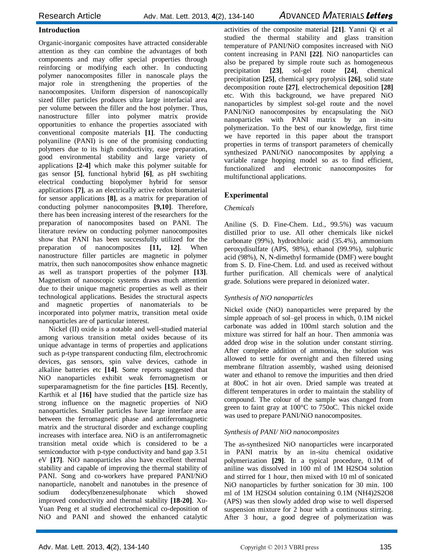#### **Introduction**

Organic-inorganic composites have attracted considerable attention as they can combine the advantages of both components and may offer special properties through reinforcing or modifying each other. In conducting polymer nanocomposites filler in nanoscale plays the major role in strengthening the properties of the nanocomposites. Uniform dispersion of nanoscopically sized filler particles produces ultra large interfacial area per volume between the filler and the host polymer. Thus, nanostructure filler into polymer matrix provide opportunities to enhance the properties associated with conventional composite materials **[1]**. The conducting polyaniline (PANI) is one of the promising conducting polymers due to its high conductivity, ease preparation, good environmental stability and large variety of applications **[2-4]** which make this polymer suitable for gas sensor **[5]**, functional hybrid **[6]**, as pH swchiting electrical conducting biopolymer hybrid for sensor applications **[7]**, as an electrically active redox biomaterial for sensor applications **[8]**, as a matrix for preparation of conducting polymer nanocomposites **[9,10]**. Therefore, there has been increasing interest of the researchers for the preparation of nanocomposites based on PANI. The literature review on conducting polymer nanocomposites show that PANI has been successfully utilized for the preparation of nanocomposites **[11, 12]**. When nanostructure filler particles are magnetic in polymer matrix, then such nanocomposites show enhance magnetic as well as transport properties of the polymer **[13]**. Magnetism of nanoscopic systems draws much attention due to their unique magnetic properties as well as their technological applications. Besides the structural aspects and magnetic properties of nanomaterials to be incorporated into polymer matrix, transition metal oxide nanoparticles are of particular interest.

Nickel (II) oxide is a notable and well-studied material among various transition metal oxides because of its unique advantage in terms of properties and applications such as p-type transparent conducting film, electrochromic devices, gas sensors, spin valve devices, cathode in alkaline batteries etc **[14]**. Some reports suggested that NiO nanoparticles exhibit weak ferromagnetism or superparamagnetism for the fine particles **[15]**. Recently, Karthik et al **[16]** have studied that the particle size has strong influence on the magnetic properties of NiO nanoparticles. Smaller particles have large interface area between the ferromagnetic phase and antiferromagnetic matrix and the structural disorder and exchange coupling increases with interface area. NiO is an antiferromagnetic transition metal oxide which is considered to be a semiconductor with p-type conductivity and band gap 3.51 eV **[17]**. NiO nanoparticles also have excellent thermal stability and capable of improving the thermal stability of PANI. Song and co-workers have prepared PANI/NiO nanoparticle, nanobelt and nanotubes in the presence of sodium dodecylbenzenesulphonate which showed improved conductivity and thermal stability **[18-20]**. Xu-Yuan Peng et al studied electrochemical co-deposition of NiO and PANI and showed the enhanced catalytic

activities of the composite material **[21]**. Yanni Qi et al studied the thermal stability and glass transition temperature of PANI/NiO composites increased with NiO content increasing in PANI **[22]**. NiO nanoparticles can also be prepared by simple route such as homogeneous precipitation **[23]**, sol-gel route **[24]**, chemical precipitation **[25]**, chemical spry pyrolysis **[26]**, solid state decomposition route **[27]**, electrochemical deposition **[28]** etc. With this background, we have prepared NiO nanoparticles by simplest sol-gel route and the novel PANI/NiO nanocomposites by encapsulating the NiO nanoparticles with PANI matrix by an in-situ polymerization. To the best of our knowledge, first time we have reported in this paper about the transport properties in terms of transport parameters of chemically synthesized PANI/NiO nanocomposites by applying a variable range hopping model so as to find efficient, functionalized and electronic nanocomposites for multifunctional applications.

#### **Experimental**

#### *Chemicals*

Aniline (S. D. Fine-Chem. Ltd., 99.5%) was vacuum distilled prior to use. All other chemicals like nickel carbonate (99%), hydrochloric acid (35.4%), ammonium peroxydisulfate (APS, 98%), ethanol (99.9%), sulphuric acid (98%), N, N-dimethyl formamide (DMF) were bought from S. D. Fine-Chem. Ltd. and used as received without further purification. All chemicals were of analytical grade. Solutions were prepared in deionized water.

#### *Synthesis of NiO nanoparticles*

Nickel oxide (NiO) nanoparticles were prepared by the simple approach of sol–gel process in which, 0.1M nickel carbonate was added in 100ml starch solution and the mixture was stirred for half an hour. Then ammonia was added drop wise in the solution under constant stirring. After complete addition of ammonia, the solution was allowed to settle for overnight and then filtered using membrane filtration assembly, washed using deionised water and ethanol to remove the impurities and then dried at 80oC in hot air oven. Dried sample was treated at different temperatures in order to maintain the stability of compound. The colour of the sample was changed from green to faint gray at 100°C to 750oC. This nickel oxide was used to prepare PANI/NiO nanocomposites.

#### *Synthesis of PANI/ NiO nanocomposites*

The as-synthesized NiO nanoparticles were incarporated in PANI matrix by an in-situ chemical oxidative polymerization **[29]**. In a typical procedure, 0.1M of aniline was dissolved in 100 ml of 1M H2SO4 solution and stirred for 1 hour, then mixed with 10 ml of sonicated NiO nanoparticles by further sonication for 30 min. 100 ml of 1M H2SO4 solution containing 0.1M (NH4)2S2O8 (APS) was then slowly added drop wise to well dispersed suspension mixture for 2 hour with a continuous stirring. After 3 hour, a good degree of polymerization was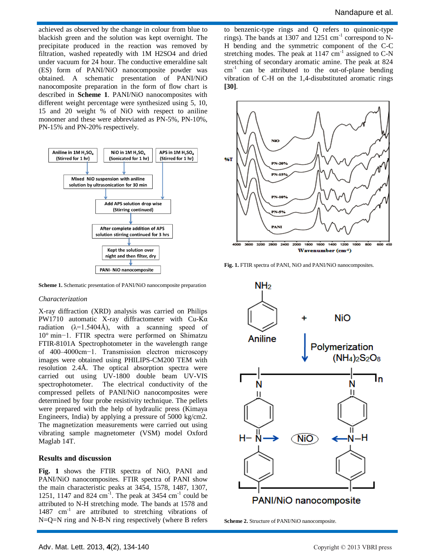achieved as observed by the change in colour from blue to blackish green and the solution was kept overnight. The precipitate produced in the reaction was removed by filtration, washed repeatedly with 1M H2SO4 and dried under vacuum for 24 hour. The conductive emeraldine salt (ES) form of PANI/NiO nanocomposite powder was obtained. A schematic presentation of PANI/NiO nanocomposite preparation in the form of flow chart is described in **Scheme 1**. PANI/NiO nanocomposites with different weight percentage were synthesized using 5, 10, 15 and 20 weight % of NiO with respect to aniline monomer and these were abbreviated as PN-5%, PN-10%, PN-15% and PN-20% respectively.



**Scheme 1.** Schematic presentation of PANI/NiO nanocomposite preparation

#### *Characterization*

X-ray diffraction (XRD) analysis was carried on Philips PW1710 automatic X-ray diffractometer with Cu-Kα radiation  $(\lambda=1.5404\text{\AA})$ , with a scanning speed of 10° min−1. FTIR spectra were performed on Shimatzu FTIR-8101A Spectrophotometer in the wavelength range of 400–4000cm−1. Transmission electron microscopy images were obtained using PHILIPS-CM200 TEM with resolution 2.4Å. The optical absorption spectra were carried out using UV-1800 double beam UV-VIS spectrophotometer. The electrical conductivity of the compressed pellets of PANI/NiO nanocomposites were determined by four probe resistivity technique. The pellets were prepared with the help of hydraulic press (Kimaya Engineers, India) by applying a pressure of 5000 kg/cm2. The magnetization measurements were carried out using vibrating sample magnetometer (VSM) model Oxford Maglab 14T.

#### **Results and discussion**

**Fig. 1** shows the FTIR spectra of NiO, PANI and PANI/NiO nanocomposites. FTIR spectra of PANI show the main characteristic peaks at 3454, 1578, 1487, 1307, 1251, 1147 and 824 cm<sup>-1</sup>. The peak at 3454 cm<sup>-1</sup> could be attributed to N-H stretching mode. The bands at 1578 and 1487 cm<sup>-1</sup> are attributed to stretching vibrations of N=Q=N ring and N-B-N ring respectively (where B refers

to benzenic-type rings and Q refers to quinonic-type rings). The bands at  $1307$  and  $1251$  cm<sup>-1</sup> correspond to N-H bending and the symmetric component of the C-C stretching modes. The peak at  $1147 \text{ cm}^{-1}$  assigned to C-N stretching of secondary aromatic amine. The peak at 824  $cm<sup>-1</sup>$  can be attributed to the out-of-plane bending vibration of C-H on the 1,4-disubstituted aromatic rings **[30]**.



**Fig. 1.** FTIR spectra of PANI, NiO and PANI/NiO nanocomposites.



**Scheme 2.** Structure of PANI/NiO nanocomposite.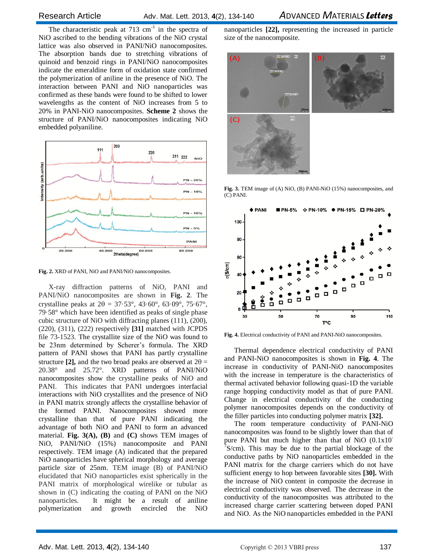The characteristic peak at  $713 \text{ cm}^{-1}$  in the spectra of NiO ascribed to the bending vibrations of the NiO crystal lattice was also observed in PANI/NiO nanocomposites. The absorption bands due to stretching vibrations of quinoid and benzoid rings in PANI/NiO nanocomposites indicate the emeraldine form of oxidation state confirmed the polymerization of aniline in the presence of NiO. The interaction between PANI and NiO nanoparticles was confirmed as these bands were found to be shifted to lower wavelengths as the content of NiO increases from 5 to 20% in PANI-NiO nanocomposites. **Scheme 2** shows the structure of PANI/NiO nanocomposites indicating NiO embedded polyaniline.



**Fig. 2.** XRD of PANI, NiO and PANI/NiO nanocomposites.

X-ray diffraction patterns of NiO, PANI and PANI/NiO nanocomposites are shown in **Fig. 2**. The crystalline peaks at  $2\theta = 37.53^{\circ}$ ,  $43.60^{\circ}$ ,  $63.09^{\circ}$ ,  $75.67^{\circ}$ , 79·58° which have been identified as peaks of single phase cubic structure of NiO with diffracting planes (111), (200), (220), (311), (222) respectively **[31]** matched with JCPDS file 73-1523. The crystallite size of the NiO was found to be 23nm determined by Scherer's formula. The XRD pattern of PANI shows that PANI has partly crystalline structure **[2]**, and the two broad peaks are observed at  $2\theta =$ 20.38° and 25.72°. XRD patterns of PANI/NiO nanocomposites show the crystalline peaks of NiO and PANI. This indicates that PANI undergoes interfacial interactions with NiO crystallites and the presence of NiO in PANI matrix strongly affects the crystalline behavior of the formed PANI. Nanocomposites showed more crystalline than that of pure PANI indicating the advantage of both NiO and PANI to form an advanced material. **Fig. 3(A), (B)** and **(C)** shows TEM images of NiO, PANI/NiO (15%) nanocomposite and PANI respectively. TEM image (A) indicated that the prepared NiO nanoparticles have spherical morphology and average particle size of 25nm. TEM image (B) of PANI/NiO elucidated that NiO nanoparticles exist spherically in the PANI matrix of morphological wirelike or tubular as shown in (C) indicating the coating of PANI on the NiO nanoparticles. It might be a result of aniline polymerization and growth encircled the NiO

nanoparticles **[22],** representing the increased in particle size of the nanocomposite.



**Fig. 3.** TEM image of (A) NiO, (B) PANI-NiO (15%) nanocomposites, and (C) PANI.



**Fig. 4.** Electrical conductivity of PANI and PANI-NiO nanocomposites.

Thermal dependence electrical conductivity of PANI and PANI-NiO nanocomposites is shown in **Fig. 4**. The increase in conductivity of PANI-NiO nanocomposites with the increase in temperature is the characteristics of thermal activated behavior following quasi-1D the variable range hopping conductivity model as that of pure PANI. Change in electrical conductivity of the conducting polymer nanocomposites depends on the conductivity of the filler particles into conducting polymer matrix **[32].**

The room temperature conductivity of PANI-NiO nanocomposites was found to be slightly lower than that of pure PANI but much higher than that of NiO (0.1x10<sup>-</sup>  $\sqrt[7]{S/cm}$ ). This may be due to the partial blockage of the conductive paths by NiO nanoparticles embedded in the PANI matrix for the charge carriers which do not have sufficient energy to hop between favorable sites **[30].** With the increase of NiO content in composite the decrease in electrical conductivity was observed. The decrease in the conductivity of the nanocomposites was attributed to the increased charge carrier scattering between doped PANI and NiO. As the NiO nanoparticles embedded in the PANI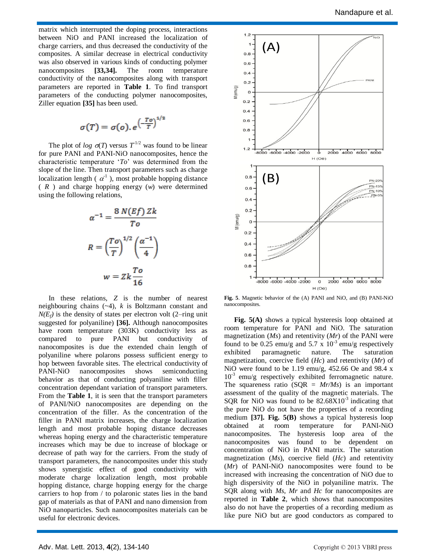matrix which interrupted the doping process, interactions between NiO and PANI increased the localization of charge carriers, and thus decreased the conductivity of the composites. A similar decrease in electrical conductivity was also observed in various kinds of conducting polymer nanocomposites **[33,34].** The room temperature conductivity of the nanocomposites along with transport parameters are reported in **Table 1**. To find transport parameters of the conducting polymer nanocomposites, Ziller equation **[35]** has been used.

$$
\sigma(T) = \sigma(o).e^{\left(\frac{T o}{T}\right)^{1/2}}
$$

The plot of *log*  $\sigma(T)$  versus  $T^{1/2}$  was found to be linear for pure PANI and PANI-NiO nanocomposites, hence the characteristic temperature '*To*' was determined from the slope of the line. Then transport parameters such as charge localization length ( $\alpha^1$ ), most probable hopping distance ( *R* ) and charge hopping energy (*w*) were determined using the following relations,

$$
\alpha^{-1} = \frac{8 N(Ef) Zk}{To}
$$

$$
R = \left(\frac{To}{T}\right)^{1/2} \left(\frac{\alpha^{-1}}{4}\right)
$$

$$
w = Zk \frac{To}{16}
$$

In these relations, *Z* is the number of nearest neighbouring chains (~4), *k* is Boltzmann constant and  $N(E_f)$  is the density of states per electron volt (2–ring unit suggested for polyaniline) **[36].** Although nanocomposites have room temperature (303K) conductivity less as compared to pure PANI but conductivity of nanocomposites is due the extended chain length of polyaniline where polarons possess sufficient energy to hop between favorable sites. The electrical conductivity of PANI-NiO nanocomposites shows semiconducting behavior as that of conducting polyaniline with filler concentration dependant variation of transport parameters. From the **Table 1**, it is seen that the transport parameters of PANI/NiO nanocomposites are depending on the concentration of the filler. As the concentration of the filler in PANI matrix increases, the charge localization length and most probable hoping distance decreases whereas hoping energy and the characteristic temperature increases which may be due to increase of blockage or decrease of path way for the carriers. From the study of transport parameters, the nanocomposites under this study shows synergistic effect of good conductivity with moderate charge localization length, most probable hopping distance, charge hopping energy for the charge carriers to hop from / to polaronic states lies in the band gap of materials as that of PANI and nano dimension from NiO nanoparticles. Such nanocomposites materials can be useful for electronic devices.



**Fig. 5**. Magnetic behavior of the (A) PANI and NiO, and (B) PANI-NiO nanocomposites.

**Fig. 5(A)** shows a typical hysteresis loop obtained at room temperature for PANI and NiO. The saturation magnetization (*Ms*) and retentivity (*Mr*) of the PANI were found to be 0.25 emu/g and 5.7 x  $10^{-3}$  emu/g respectively exhibited paramagnetic nature. The saturation magnetization, coercive field (*Hc*) and retentivity (*Mr*) of NiO were found to be 1.19 emu/g,  $452.66$  Oe and 98.4 x  $10^{-3}$  emu/g respectively exhibited ferromagnetic nature. The squareness ratio  $(SQR = Mr/Ms)$  is an important assessment of the quality of the magnetic materials. The SQR for NiO was found to be  $82.68X10^{-3}$  indicating that the pure NiO do not have the properties of a recording medium **[37]. Fig. 5(B)** shows a typical hysteresis loop obtained at room temperature for PANI-NiO nanocomposites. The hysteresis loop area of the nanocomposites was found to be dependent on concentration of NiO in PANI matrix. The saturation magnetization (*Ms*), coercive field (*Hc*) and retentivity (*Mr*) of PANI-NiO nanocomposites were found to be increased with increasing the concentration of NiO due to high dispersivity of the NiO in polyaniline matrix. The SQR along with *Ms, Mr* and *Hc* for nanocomposites are reported in **Table 2**, which shows that nanocomposites also do not have the properties of a recording medium as like pure NiO but are good conductors as compared to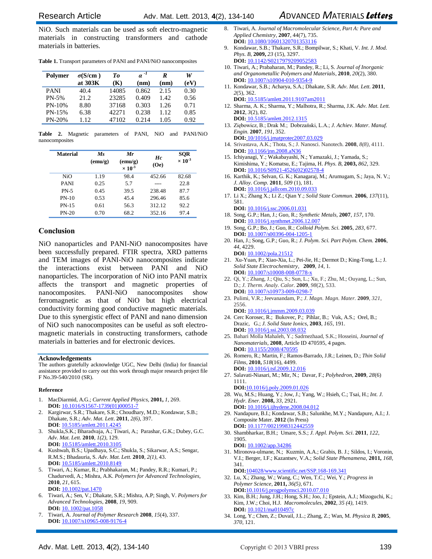Research ArticleAdv. Mat. Lett. 2013, **4**(2), 134-140 *A*DVANCED *M*ATERIALS *Letters*

NiO. Such materials can be used as soft electro-magnetic materials in constructing transformers and cathode materials in batteries.

|  |  |  |  |  | Table 1. Transport parameters of PANI and PANI/NiO nanocomposites |
|--|--|--|--|--|-------------------------------------------------------------------|
|--|--|--|--|--|-------------------------------------------------------------------|

| <b>Polymer</b> | $\sigma(S/cm)$ | Tо     | $\alpha^{-1}$ | R    | W    |
|----------------|----------------|--------|---------------|------|------|
|                | at 303K        | (K)    | (nm)          | (nm) | (eV) |
| <b>PANI</b>    | 40.4           | 14085  | 0.862         | 2.15 | 0.30 |
| $PN-5%$        | 21.2.          | 23285  | 0.409         | 1.42 | 0.56 |
| $PN-10%$       | 8.80           | 37168  | 0.303         | 1.26 | 0.71 |
| PN-15%         | 6.38           | 422.71 | 0.238         | 1.12 | 0.85 |
| PN-20%         | 1 1 2          | 47102  | 0.214         | 1.05 | 0.92 |

**Table 2.** Magnetic parameters of PANI, NiO and PANI/NiO nanocomposites

| <b>Material</b> | Ms<br>$(\text{emu/g})$ | Mr<br>$(\text{emu/g})$<br>$\times 10^{-3}$ | Hc<br>(Oe) | <b>SQR</b><br>$\times 10^{-3}$ |
|-----------------|------------------------|--------------------------------------------|------------|--------------------------------|
| NiO             | 1.19                   | 98.4                                       | 452.66     | 82.68                          |
| <b>PANI</b>     | 0.25                   | 5.7                                        |            | 22.8                           |
| $PN-5$          | 0.45                   | 39.5                                       | 238.48     | 87.7                           |
| $PN-10$         | 0.53                   | 45.4                                       | 296.46     | 85.6                           |
| $PN-15$         | 0.61                   | 56.3                                       | 312.12     | 92.2                           |
| $PN-20$         | 0.70                   | 68.2                                       | 352.16     | 97.4                           |

#### **Conclusion**

NiO nanoparticles and PANI-NiO nanocomposites have been successfully prepared. FTIR spectra, XRD patterns and TEM images of PANI-NiO nanocomposites indicate the interactions exist between PANI and NiO nanoparticles. The incorporation of NiO into PANI matrix affects the transport and magnetic properties of nanocomposites. PANI-NiO nanocomposites show ferromagnetic as that of NiO but high electrical conductivity forming good conductive magnetic materials. Due to this synergistic effect of PANI and nano dimension of NiO such nanocomposites can be useful as soft electromagnetic materials in constructing transformers, cathode materials in batteries and for electronic devices.

#### **Acknowledgements**

The authors gratefully acknowledge UGC, New Delhi (India) for financial assistance provided to carry out this work through major research project file F No.39-540/2010 (SR).

#### **Reference**

- 1. MacDiarmid, A.G.; *Current Applied Physics,* **2001,** *1*, 269. **DOI:** 10.1016/S1567-1739(01)00051-7
- 2. Kargirwar, S.R.; Thakare, S.R.; Choudhary, M.D.; Kondawar, S.B.; Dhakate, S.R.; *Adv. Mat. Lett*. **2011**, *2(6)*, 397. **DOI**: 10.5185/amlett.2011.4245
- 3. Shukla,S.K.; Bharadvaja, A.; Tiwari, A.; Parashar, G.K.; Dubey, G.C. *Adv. Mat. Lett.* **2010**, *1(2),* 129.
- **DOI:** 10.5185/amlett.2010.3105 4. Kushwah, B.S.; Upadhaya, S.C.; Shukla, S.; Sikarwar, A.S.; Sengar, R.M.S.; Bhadauria, S. *Adv. Mat. Lett.* **2010**, *2(1),* 43. **DOI:** 10.5185/amlett.2010.8149
- 5. Tiwari, A.; Kumar, R.; Prabhakaran, M.; Pandey, R.R.; Kumari, P.; Chadurvedi, A.; Mishra, A.K. *Polymers for Advanced Technologies,* **2010**, *21*, 615. **DOI:** 10.1002/pat.1470
- 6. Tiwari, A.; Sen, V.; Dhakate, S.R.; Mishra, A.P; Singh, V. *Polymers for Advanced Technologies,* **2008**, *19*, 909. **DOI:** 10. 1002/pat.1058
- 7. Tiwari, A. *Journal of Polymer Research* **2008**, *15*(4), 337. **DOI:** 10.1007/s10965-008-9176-4
- 8. Tiwari, A. *Journal of Macromolecular Science, Part A: Pure and Applied Chemistry,* **2007**, 44(7), 735. **DOI:** [10.1080/10601320701353116](http://dx.doi.org/10.1080/10601320701353116)
- 9. Kondawar, S.B.; Thakare, S.R.; Bompilwar, S.; Khati, V. *Int. J. Mod. Phys. B,* **2009,** *23* (15), 3297. **DOI:** [10.1142/S0217979209052583](http://adsabs.harvard.edu/cgi-bin/nph-abs_connect?fforward=http://dx.doi.org/10.1142/S0217979209052583)
- 10. Tiwari, A.; Prabaharan, M.; Pandey, R.; Li, S. *Journal of Inorganic and Organometallic Polymers and Materials*, **2010**, *20*(2), 380. **DOI:** [10.1007/s10904-010-9354-9](http://dx.doi.org/10.1007/s10904-010-9354-9)
- 11. Kondawar, S.B.; Acharya, S.A.; Dhakate, S.R. *Adv. Mat. Lett.* **2011**, *2*(5), 362. **DOI:** 10.5185/amlett.2011.9107am2011
- 12. Sharma, A. K.; Sharma, Y.; Malhotra, R.; Sharma, J.K. *Adv. Mat. Lett.* **2012**, *3*(2), 82. **DOI:** 10.5185/amlett.2012.1315
- 13. Ziębowicz, B.; Drak M.; Dobrzański, L.A.; *J. Achiev. Mater. Manuf. Engin.* **2007**, *191*, 352. **DOI:** 10/1016/j.jmatprotec2007.03.029
- 14. Srivastava, A.K.; Thota, S.; J. Nanosci. Nanotech. **2008**, *8(8),* 4111. **DOI:** 10.1166/jnn.2008.aN36
- 15. Ichiyanagi, Y.; Wakabayashi, N.; Yamazaki, J.; Yamada, S.; Kimishima, Y.; Komatsu, E.; Tajima, H. *Phys. B,* **2003,** *862*, 329. **DOI:** 10.1016/S0921-4526(02)02578-4
- 16. Karthik, K.; Selvan, G. K.; Kanagaraj, M.; Arumugam, S.; Jaya, N. V.; *J. Alloy. Comp.* **2011**, *509* (1), 181. **DOI:** 10.1016/j.jallcom.2010.09.033
- 17. Li X.; Zhang X.; Li Z.; Qian Y.; *Solid State Commun.* **2006**, *137*(11), 581.
- **DOI:** [10.1016/j.ssc.2006.01.031](http://dx.doi.org/10.1016/j.ssc.2006.01.031) 18. Song, G.P.; Han, J.; Guo, R.; *Synthetic Metals,* **2007**, *157*, 170.
- **DOI:** 10.1016/j.synthmet.2006.12.007 19. Song, G.P.; Bo, J.; Guo, R.; *Colloid Polym. Sci.* **2005**, *283*, 677. **DOI:** 10.1007/s00396-004-1205-1
- 20. Han, J.; Song, G.P.; Guo, R.; *J. Polym. Sci. Part Polym. Chem.* **2006**, *44*, 4229.
- **DOI:** 10.1002/pola.21512 21. Xu-Yuan, P.; Xiao-Xia, L.; Pei-Jie, H.; Dermot D.; King-Tong, L.; J. *Solid State Electrochemistry,* **2009**, *14*, 1. **DOI:** 10.1007/s10008-008-0778-x
- 22. Qi, Y.; Zhang, J.; Qiu, S.; Sun, L.; Xu, F.; Zhu, M.; Ouyang, L.; Sun, D.; *J. Therm. Analy. Calor.* **2009**, *98*(2), 533. **DOI:** 10.1007/s10973-009-0298-7
- 23. Pulimi, V.R.; Jeevanandam, P.; *J. Magn. Magn. Mater.* **2009**, *321*, 2556.

**DOI:** 10.1016/j.jmmm.2009.03.039

- 24. Cerc Korosec, R.; Bukovec, P.; Pihlar, B.; Vuk, A.S.; Orel, B.; Drazic, G.; *J. Solid State Ionics,* **2003***, 165*, 191. **DOI:** 10.1016/j.ssi.2003.08.032
- 25. Bahari Molla Mahaleh, Y.; Sadrnezhaad, S.K.; Hosseini, *Journal of Nanomaterials,* **2008**, Article ID 470595, 4 pages. **DOI:** 10.1155/2008/470595
- 26. Romero, R.; Martin, F.; Ramos-Barrado, J.R.; Leinen, D.; *Thin Solid Films*, **2010,** *518*(16), 4499. **DOI:** [10.1016/j.tsf.2009.12.016](http://adsabs.harvard.edu/cgi-bin/nph-abs_connect?fforward=http://dx.doi.org/10.1016/j.tsf.2009.12.016)
- 27. [Salavati-Niasari,](javascript:visitAuthor(%22M_Salavati-Niasari%22)) M.; Mir, N.[; Davar,](javascript:visitAuthor(%22F_Davar%22)) F.; *Polyhedron*, **2009**, *28*(6) 1111.
- **DOI:**[10.1016/j.poly.2009.01.026](http://dx.doi.org/10.1016/j.poly.2009.01.026) 28. Wu, M.S.; Huang, Y.; Jow, J.; Yang, W.; Hsieh, C.; Tsai, H.; *Int. J.*
- *Hydr. Ener.* **2008,** *33,* 2921. **DOI:** 10.1016/j.ijhydene.2008.04.012 29. Nandapure, B.I.; Kondawar, S.B.; Salunkhe, M.Y.; Nandapure, A.I.; J.
	- Composite Mater. **2012** (In Press) **DOI:** 10.1177/0021998312442559
- 30. Shambharkar, B.H.; Umare, S.S.; *J. Appl. Polym. Sci*. **2011***, 122*, 1905. **DOI:** 10.1002/app.34286
- 31. Mironova-ulmane, N.; Kuzmin, A.A.; Grabis, B. J.; Sildos, I.; Voronin, V.I.; Berger, I.F.; Kazantsev, V.A.; *Solid State Phenamena,* **2011***, 168,*  341.
	- **DOI:**104028/www.scientific.net/SSP.168-169.341
- 32. Lu, X.; Zhang, W.; Wang, C.; Wen, T.C.; Wei, Y.; *Progress in Polymer Science*, **2011,** *36(5),* 671. **DOI:**[10.1016/j.progpolymsci.2010.07.010](http://dx.doi.org/10.1016/j.progpolymsci.2010.07.010)
- 33. Kim, B.H.; Jung, J.H.; Hong, S.H.; Joo, J.; Epstein, A.J.; Mizoguchi, K.; Kim, J.W.; Choi, H.J. *Macromolecules*, **2002**, *35 (4),* 1419. **DOI:** 10.1021/ma010497c
- 34. Long, Y.; Chen, Z.; Duvail, J.L.; Zhang, Z.; Wan, M. *Physica B*, **2005**, *370,* 121.